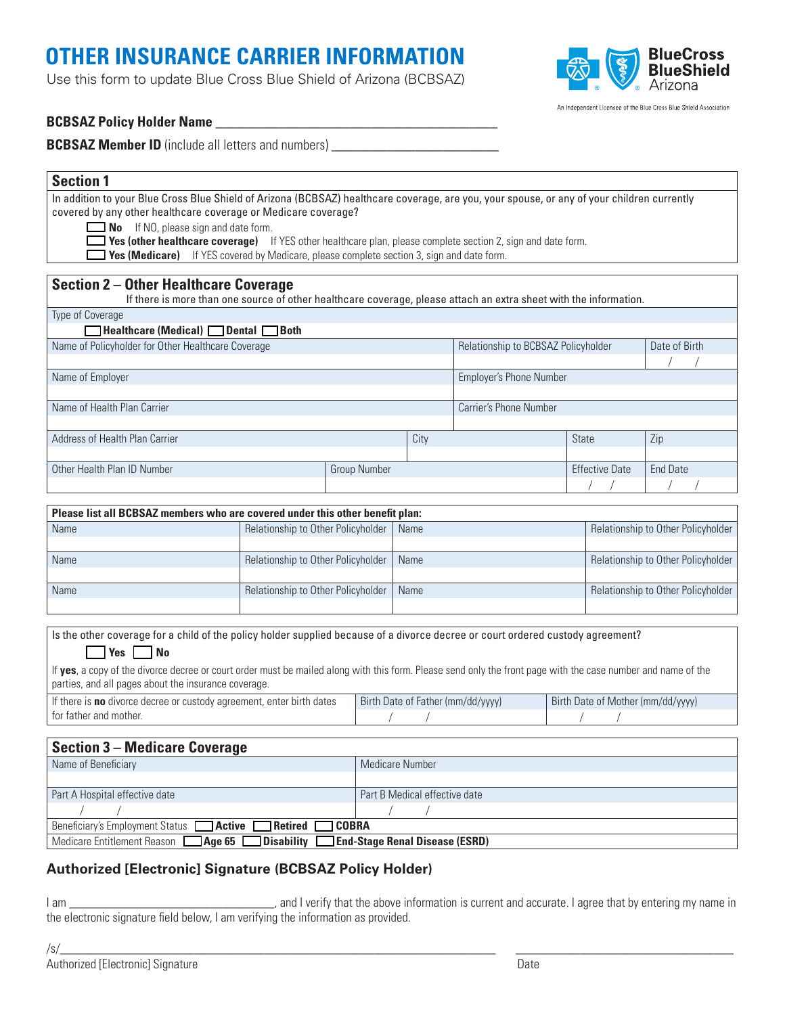# **OTHER INSURANCE CARRIER INFORMATION**

Use this form to update Blue Cross Blue Shield of Arizona (BCBSAZ)



An Independent Licensee of the Blue Cross Blue Shield Association

### **BCBSAZ Policy Holder Name** \_\_\_\_\_\_\_\_\_\_\_\_\_\_\_\_\_\_\_\_\_\_\_\_\_\_\_\_\_\_\_\_\_\_\_\_\_\_\_\_

**BCBSAZ Member ID** (include all letters and numbers)

#### **Section 1**

In addition to your Blue Cross Blue Shield of Arizona (BCBSAZ) healthcare coverage, are you, your spouse, or any of your children currently covered by any other healthcare coverage or Medicare coverage?

**No** If NO, please sign and date form.

**Thes (other healthcare coverage)** If YES other healthcare plan, please complete section 2, sign and date form.

**The Yes (Medicare)** If YES covered by Medicare, please complete section 3, sign and date form.

#### **Section 2 – Other Healthcare Coverage**

If there is more than one source of other healthcare coverage, please attach an extra sheet with the information.

Type of Coverage

| $\Box$ Healthcare (Medical) $\Box$ Dental $\Box$ Both |                     |                                     |                         |                       |          |
|-------------------------------------------------------|---------------------|-------------------------------------|-------------------------|-----------------------|----------|
| Name of Policyholder for Other Healthcare Coverage    |                     | Relationship to BCBSAZ Policyholder |                         | Date of Birth         |          |
|                                                       |                     |                                     |                         |                       |          |
| Name of Employer                                      |                     |                                     | Employer's Phone Number |                       |          |
|                                                       |                     |                                     |                         |                       |          |
| Name of Health Plan Carrier                           |                     |                                     | Carrier's Phone Number  |                       |          |
|                                                       |                     |                                     |                         |                       |          |
| Address of Health Plan Carrier                        |                     | City                                |                         | <b>State</b>          | Zip      |
|                                                       |                     |                                     |                         |                       |          |
| Other Health Plan ID Number                           | <b>Group Number</b> |                                     |                         | <b>Effective Date</b> | End Date |
|                                                       |                     |                                     |                         |                       |          |

| Please list all BCBSAZ members who are covered under this other benefit plan: |                                           |      |                                    |  |  |
|-------------------------------------------------------------------------------|-------------------------------------------|------|------------------------------------|--|--|
| Name                                                                          | Relationship to Other Policyholder   Name |      | Relationship to Other Policyholder |  |  |
|                                                                               |                                           |      |                                    |  |  |
| Name                                                                          | Relationship to Other Policyholder   Name |      | Relationship to Other Policyholder |  |  |
|                                                                               |                                           |      |                                    |  |  |
| Name                                                                          | Relationship to Other Policyholder        | Name | Relationship to Other Policyholder |  |  |
|                                                                               |                                           |      |                                    |  |  |

Is the other coverage for a child of the policy holder supplied because of a divorce decree or court ordered custody agreement?

#### **T** Yes **No**

If **yes**, a copy of the divorce decree or court order must be mailed along with this form. Please send only the front page with the case number and name of the parties, and all pages about the insurance coverage.

| If there is no divorce decree or custody agreement, enter birth dates | Birth Date of Father (mm/dd/yyyy) | Birth Date of Mother (mm/dd/yyyy) |  |
|-----------------------------------------------------------------------|-----------------------------------|-----------------------------------|--|
| I for father and mother.                                              |                                   |                                   |  |

| <b>Section 3 – Medicare Coverage</b>                                                 |                               |  |  |  |
|--------------------------------------------------------------------------------------|-------------------------------|--|--|--|
| Name of Beneficiary                                                                  | Medicare Number               |  |  |  |
|                                                                                      |                               |  |  |  |
| Part A Hospital effective date                                                       | Part B Medical effective date |  |  |  |
|                                                                                      |                               |  |  |  |
| Beneficiary's Employment Status <b>Active Retired COBRA</b>                          |                               |  |  |  |
| Medicare Entitlement Reason <b>4ge 65 Disability Bend-Stage Renal Disease (ESRD)</b> |                               |  |  |  |

# **Authorized [Electronic] Signature (BCBSAZ Policy Holder)**

I am \_\_\_\_\_\_\_\_\_\_\_\_\_\_\_\_\_\_\_\_\_\_\_\_\_\_\_\_\_\_\_\_, and I verify that the above information is current and accurate. I agree that by entering my name in the electronic signature field below, I am verifying the information as provided.